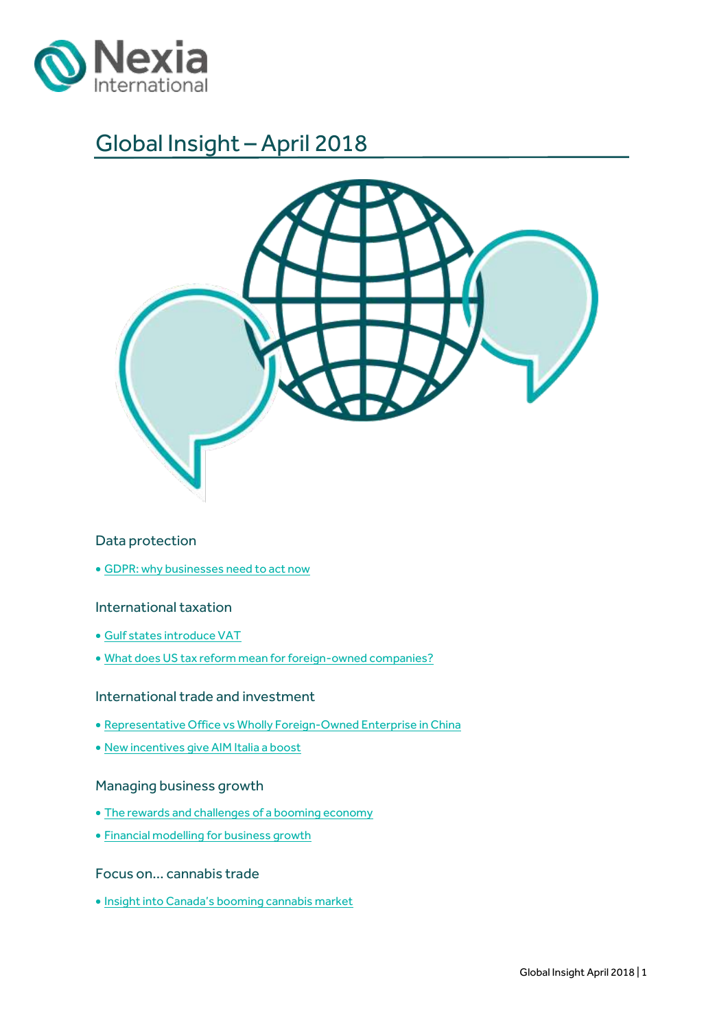

# Global Insight – April 2018



### Data protection

[GDPR: why businesses need to act now](#page-2-0)

### International taxation

- [Gulf states introduce VAT](#page-6-0)
- [What does US tax reform mean for foreign-owned companies?](#page-8-0)

### International trade and investment

- [Representative Office vs Wholly Foreign-Owned Enterprise in China](#page-10-0)
- [New incentives give](#page-12-0) AIM Italia a boost

### Managing business growth

- [The rewards and challenges](#page-14-0) of a booming economy
- Financial modelling [for business growth](#page-16-0)

### Focus on… cannabis trade

Insight into Canad[a's booming cannabis market](#page-18-0)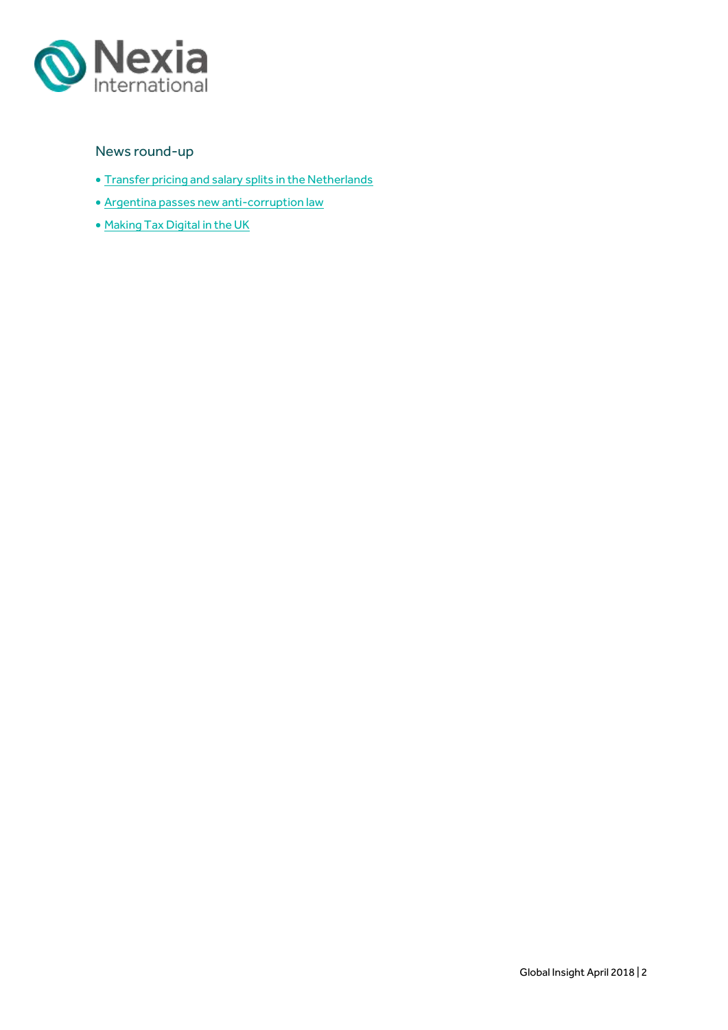

### News round-up

- [Transfer pricing and salary splits in the Netherlands](#page-21-0)
- [Argentina passes new anti-corruption law](#page-22-0)
- Making Tax [Digital in the UK](#page-20-0)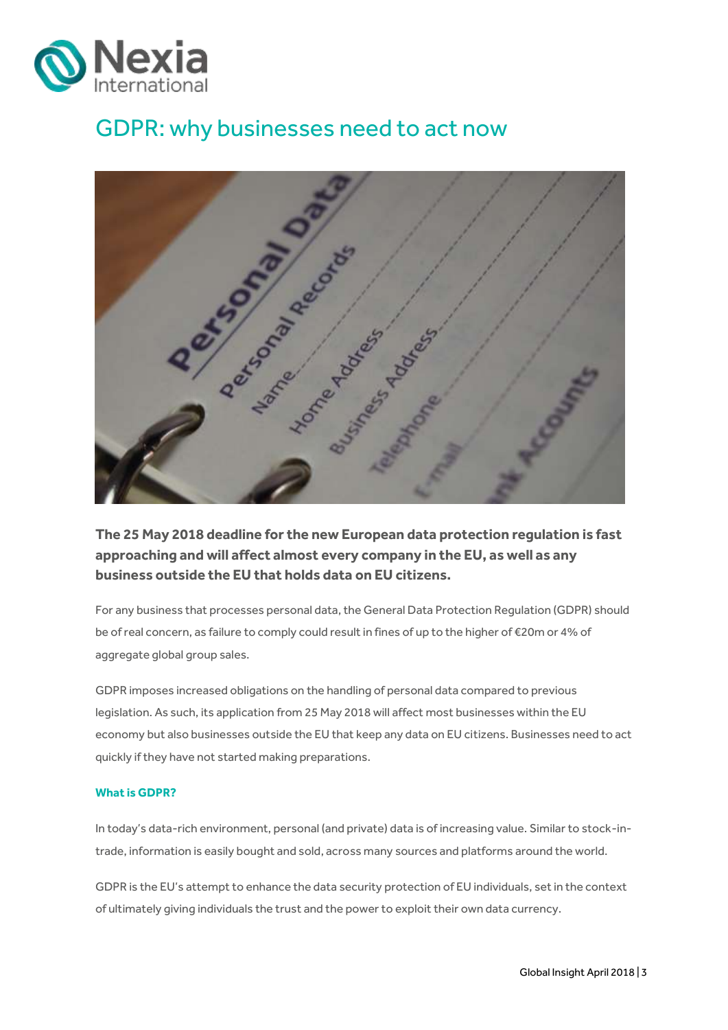

# <span id="page-2-0"></span>GDPR: why businesses need to act now



**The 25 May 2018 deadline for the new European data protection regulation is fast approaching and will affect almost every company in the EU, as well as any business outside the EU that holds data on EU citizens.**

For any business that processes personal data, the General Data Protection Regulation (GDPR) should be of real concern, as failure to comply could result in fines of up to the higher of €20m or 4% of aggregate global group sales.

GDPR imposes increased obligations on the handling of personal data compared to previous legislation. As such, its application from 25 May 2018 will affect most businesses within the EU economy but also businesses outside the EU that keep any data on EU citizens. Businesses need to act quickly if they have not started making preparations.

### **What is GDPR?**

In today's data-rich environment, personal (and private) data is of increasing value. Similar to stock-intrade, information is easily bought and sold, across many sources and platforms around the world.

GDPR is the EU's attempt to enhance the data security protection of EU individuals, set in the context of ultimately giving individuals the trust and the power to exploit their own data currency.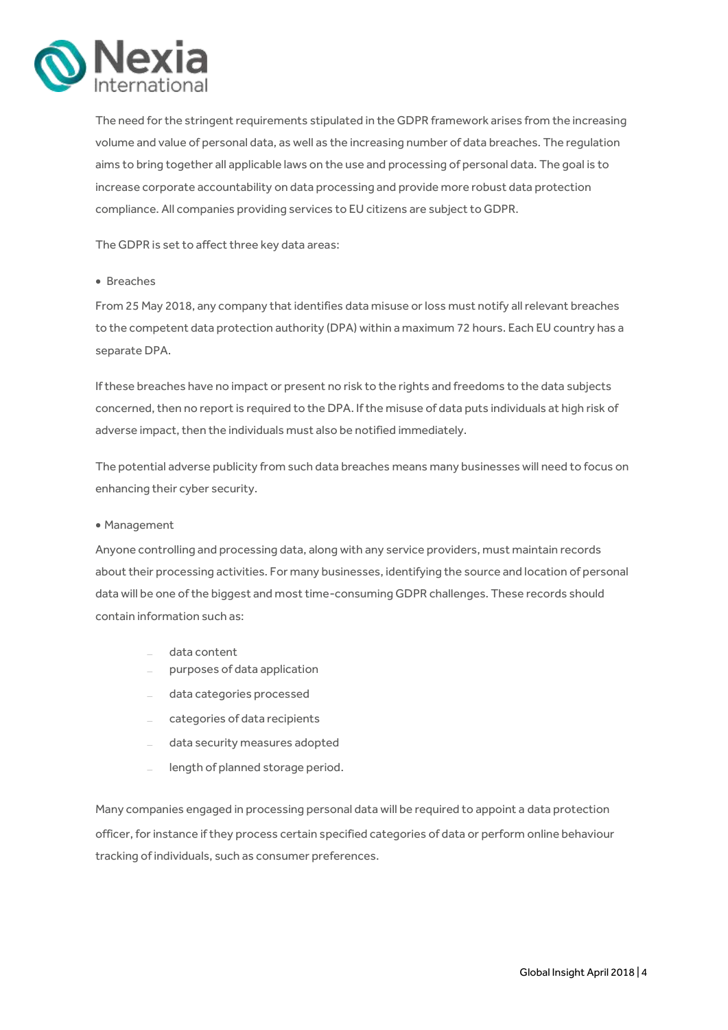

The need for the stringent requirements stipulated in the GDPR framework arises from the increasing volume and value of personal data, as well as the increasing number of data breaches. The regulation aims to bring together all applicable laws on the use and processing of personal data. The goal is to increase corporate accountability on data processing and provide more robust data protection compliance. All companies providing services to EU citizens are subject to GDPR.

The GDPR is set to affect three key data areas:

### • Breaches

From 25 May 2018, any company that identifies data misuse or loss must notify all relevant breaches to the competent data protection authority (DPA) within a maximum 72 hours. Each EU country has a separate DPA.

If these breaches have no impact or present no risk to the rights and freedoms to the data subjects concerned, then no report is required to the DPA. If the misuse of data puts individuals at high risk of adverse impact, then the individuals must also be notified immediately.

The potential adverse publicity from such data breaches means many businesses will need to focus on enhancing their cyber security.

### Management

Anyone controlling and processing data, along with any service providers, must maintain records about their processing activities. For many businesses, identifying the source and location of personal data will be one of the biggest and most time-consuming GDPR challenges. These records should contain information such as:

- data content
- purposes of data application
- data categories processed
- categories of data recipients
- data security measures adopted
- length of planned storage period.

Many companies engaged in processing personal data will be required to appoint a data protection officer, for instance if they process certain specified categories of data or perform online behaviour tracking of individuals, such as consumer preferences.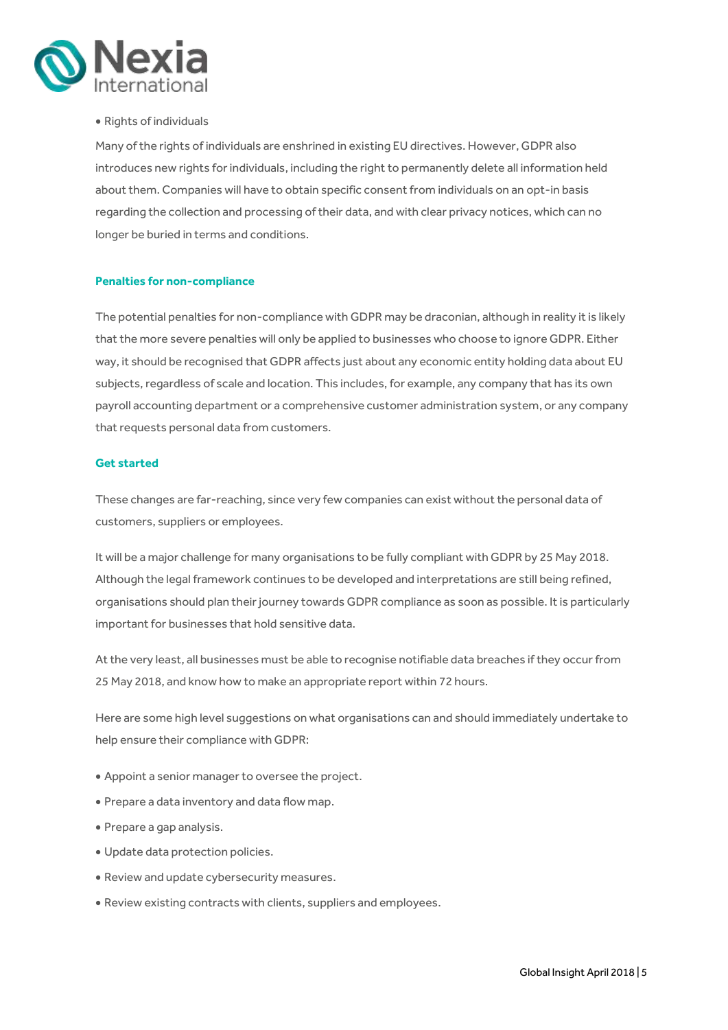

### Rights of individuals

Many of the rights of individuals are enshrined in existing EU directives. However, GDPR also introduces new rights for individuals, including the right to permanently delete all information held about them. Companies will have to obtain specific consent from individuals on an opt-in basis regarding the collection and processing of their data, and with clear privacy notices, which can no longer be buried in terms and conditions.

### **Penalties for non-compliance**

The potential penalties for non-compliance with GDPR may be draconian, although in reality it is likely that the more severe penalties will only be applied to businesses who choose to ignore GDPR. Either way, it should be recognised that GDPR affects just about any economic entity holding data about EU subjects, regardless of scale and location. This includes, for example, any company that has its own payroll accounting department or a comprehensive customer administration system, or any company that requests personal data from customers.

### **Get started**

These changes are far-reaching, since very few companies can exist without the personal data of customers, suppliers or employees.

It will be a major challenge for many organisations to be fully compliant with GDPR by 25 May 2018. Although the legal framework continues to be developed and interpretations are still being refined, organisations should plan their journey towards GDPR compliance as soon as possible. It is particularly important for businesses that hold sensitive data.

At the very least, all businesses must be able to recognise notifiable data breaches if they occur from 25 May 2018, and know how to make an appropriate report within 72 hours.

Here are some high level suggestions on what organisations can and should immediately undertake to help ensure their compliance with GDPR:

- Appoint a senior manager to oversee the project.
- Prepare a data inventory and data flow map.
- Prepare a gap analysis.
- Update data protection policies.
- Review and update cybersecurity measures.
- Review existing contracts with clients, suppliers and employees.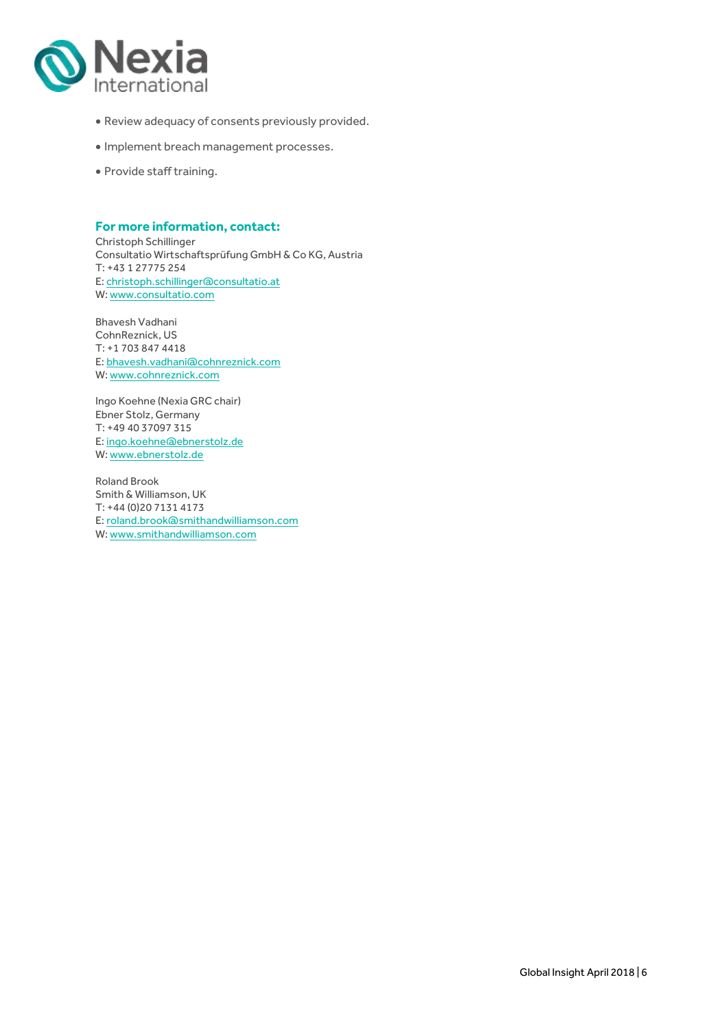

- Review adequacy of consents previously provided.
- $\bullet$  Implement breach management processes.
- Provide staff training.

### **For more information, contact:**

Christoph Schillinger Consultatio Wirtschaftsprüfung GmbH & Co KG, Austria T: +43 1 27775 254 E[: christoph.schillinger@consultatio.at](mailto:christoph.schillinger@consultatio.at) W[: www.consultatio.com](http://www.consultatio.com/)

Bhavesh Vadhani CohnReznick, US T: +1 703 847 4418 E[: bhavesh.vadhani@cohnreznick.com](mailto:bhavesh.vadhani@cohnreznick.com) W[: www.cohnreznick.com](http://www.cohnreznick.com/)

Ingo Koehne (Nexia GRC chair) Ebner Stolz, Germany T: +49 40 37097 315 E[: ingo.koehne@ebnerstolz.de](mailto:Ingo.Koehne@ebnerstolz.de) W[: www.ebnerstolz.de](http://www.ebnerstolz.de/)

Roland Brook Smith & Williamson, UK T: +44 (0)20 7131 4173 E: [roland.brook@smithandwilliamson.com](mailto:roland.brook@smithandwilliamson.com) W: www.smithandwilliamson.com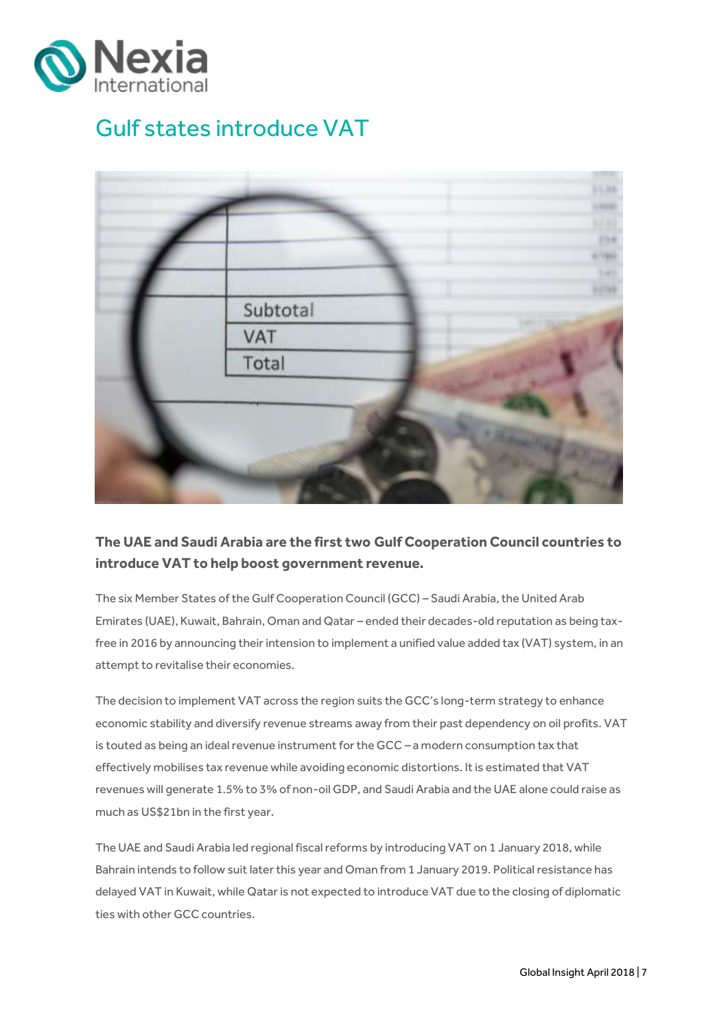

# <span id="page-6-0"></span>Gulf states introduce VAT



## **The UAE and Saudi Arabia are the first two Gulf Cooperation Council countries to introduce VAT to help boost government revenue.**

The six Member States of the Gulf Cooperation Council (GCC) – Saudi Arabia, the United Arab Emirates (UAE), Kuwait, Bahrain, Oman and Qatar – ended their decades-old reputation as being taxfree in 2016 by announcing their intension to implement a unified value added tax (VAT) system, in an attempt to revitalise their economies.

The decision to implement VAT across the region suits the GCC's long-term strategy to enhance economic stability and diversify revenue streams away from their past dependency on oil profits. VAT is touted as being an ideal revenue instrument for the GCC – a modern consumption tax that effectively mobilises tax revenue while avoiding economic distortions. It is estimated that VAT revenues will generate 1.5% to 3% of non-oil GDP, and Saudi Arabia and the UAE alone could raise as much as US\$21bn in the first year.

The UAE and Saudi Arabia led regional fiscal reforms by introducing VAT on 1 January 2018, while Bahrain intends to follow suitlater this year and Oman from 1 January 2019. Political resistance has delayed VAT in Kuwait, while Qatar is not expected to introduce VAT due to the closing of diplomatic ties with other GCC countries.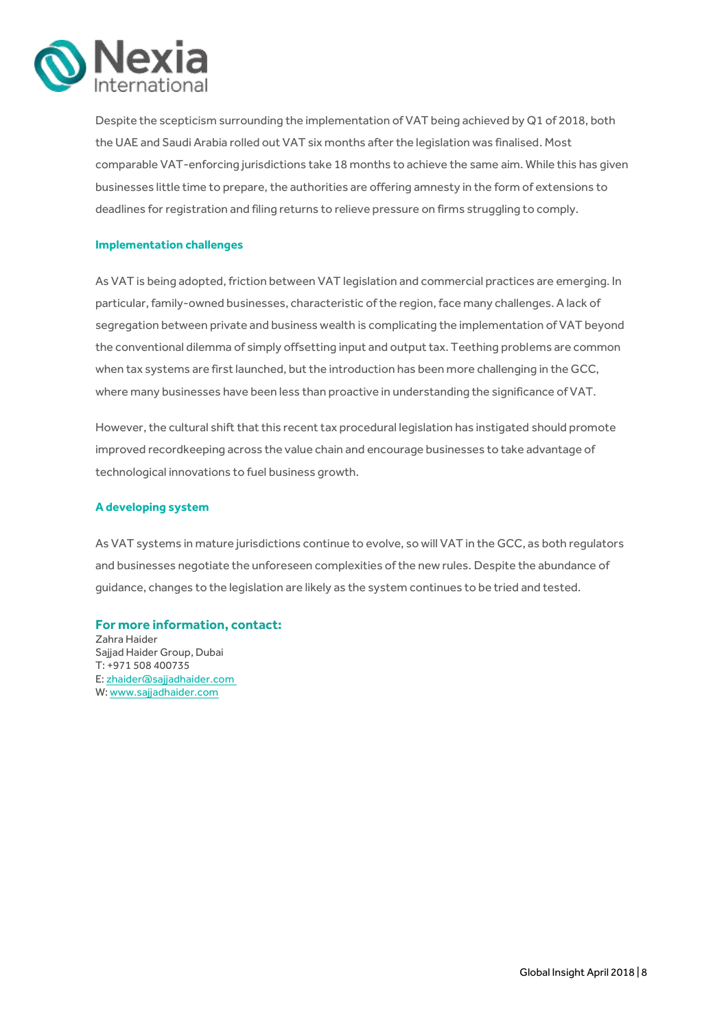

Despite the scepticism surrounding the implementation of VAT being achieved by Q1 of 2018, both the UAE and Saudi Arabia rolled out VAT six months after the legislation was finalised. Most comparable VAT-enforcing jurisdictions take 18 months to achieve the same aim. While this has given businesses little time to prepare, the authorities are offering amnesty in the form of extensions to deadlines for registration and filing returns to relieve pressure on firms struggling to comply.

### **Implementation challenges**

As VAT is being adopted, friction between VAT legislation and commercial practices are emerging. In particular, family-owned businesses, characteristic of the region, face many challenges. A lack of segregation between private and business wealth is complicating the implementation of VAT beyond the conventional dilemma of simply offsetting input and output tax. Teething problems are common when tax systems are first launched, but the introduction has been more challenging in the GCC, where many businesses have been less than proactive in understanding the significance of VAT.

However, the cultural shift that this recent tax procedural legislation has instigated should promote improved recordkeeping across the value chain and encourage businesses to take advantage of technological innovations to fuel business growth.

### **A developing system**

As VAT systems in mature jurisdictions continue to evolve, so will VAT in the GCC, as both regulators and businesses negotiate the unforeseen complexities of the new rules. Despite the abundance of guidance, changes to the legislation are likely as the system continues to be tried and tested.

### **For more information, contact:**

Zahra Haider Sajjad Haider Group, Dubai T: +971 508 400735 E[: zhaider@sajjadhaider.com](mailto:zhaider@sajjadhaider.com) W[: www.sajjadhaider.com](http://www.sajjadhaider.com/)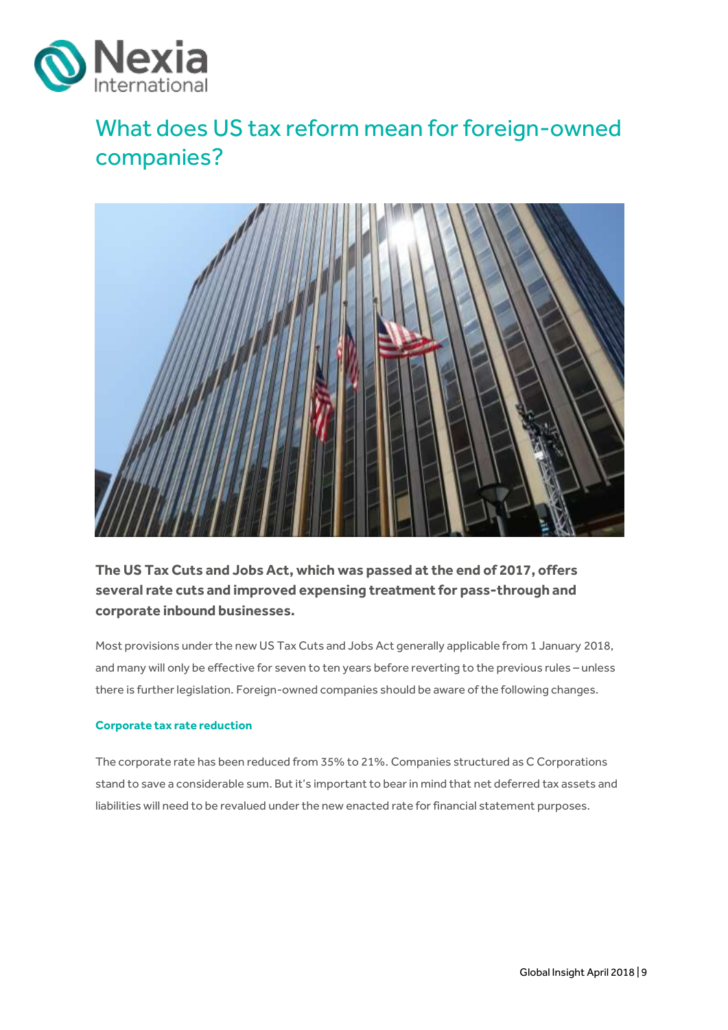

# <span id="page-8-0"></span>What does US tax reform mean for foreign-owned companies?



**The US Tax Cuts and JobsAct, which was passed at the end of 2017, offers severalrate cuts and improved expensing treatment for pass-through and corporate inbound businesses.** 

Most provisions under the new US Tax Cuts and Jobs Act generally applicable from 1 January 2018, and many will only be effective for seven to ten years before reverting to the previous rules – unless there is further legislation. Foreign-owned companies should be aware of the following changes.

### **Corporate tax rate reduction**

The corporate rate has been reduced from 35% to 21%. Companies structured as C Corporations stand to save a considerable sum. But it's important to bear in mind that net deferred tax assets and liabilities will need to be revalued under the new enacted rate for financial statement purposes.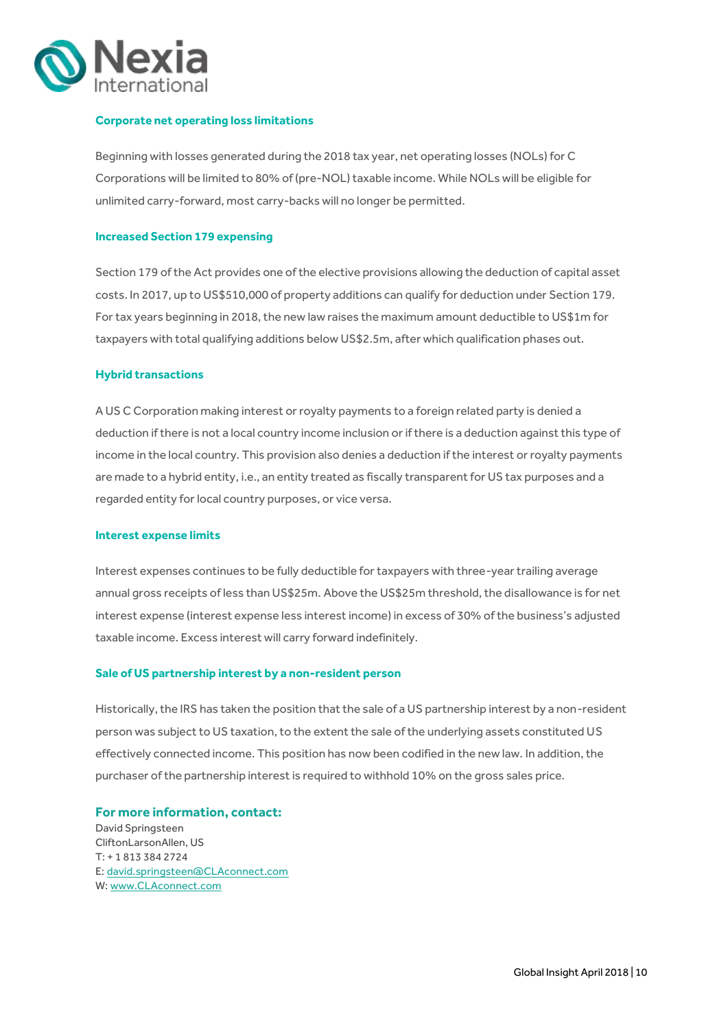

### **Corporate net operating loss limitations**

Beginning with losses generated during the 2018 tax year, net operating losses (NOLs) for C Corporations will be limited to 80% of (pre-NOL) taxable income. While NOLs will be eligible for unlimited carry-forward, most carry-backs will no longer be permitted.

#### **Increased Section 179 expensing**

Section 179 of the Act provides one of the elective provisions allowing the deduction of capital asset costs. In 2017, up to US\$510,000 of property additions can qualify for deduction under Section 179. For tax years beginning in 2018, the new law raises the maximum amount deductible to US\$1m for taxpayers with total qualifying additions below US\$2.5m, after which qualification phases out.

### **Hybrid transactions**

A US C Corporation making interest or royalty payments to a foreign related party is denied a deduction if there is not a local country income inclusion or if there is a deduction against this type of income in the local country. This provision also denies a deduction if the interest or royalty payments are made to a hybrid entity, i.e., an entity treated as fiscally transparent for US tax purposes and a regarded entity for local country purposes, or vice versa.

#### **Interest expense limits**

Interest expenses continues to be fully deductible for taxpayers with three-year trailing average annual gross receipts of less than US\$25m. Above the US\$25m threshold, the disallowance is for net interest expense (interest expense less interest income) in excess of 30% of the business's adjusted taxable income. Excess interest will carry forward indefinitely.

### **Sale of US partnership interest by a non-resident person**

Historically, the IRS has taken the position that the sale of a US partnership interest by a non-resident person was subject to US taxation, to the extent the sale of the underlying assets constituted US effectively connected income. This position has now been codified in the new law. In addition, the purchaser of the partnership interest is required to withhold 10% on the gross sales price.

**For more information, contact:** David Springsteen CliftonLarsonAllen, US T: + 1 813 384 2724 E: [david.springsteen@CLAconnect.com](mailto:David.springsteen@CLAconnect.com) W: [www.CLAconnect.com](http://www.claconnect.com/)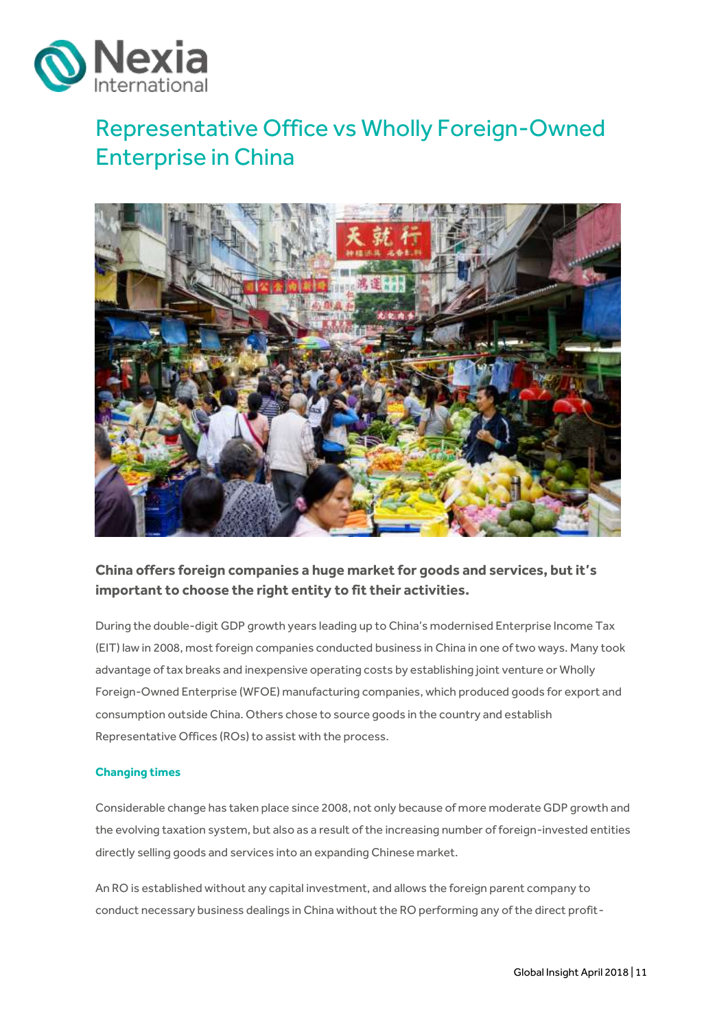

# <span id="page-10-0"></span>Representative Office vs Wholly Foreign-Owned Enterprise in China



## **China offers foreign companies a huge market for goods and services, but it's important to choose the right entity to fit their activities.**

During the double-digit GDP growth years leading up to China's modernised Enterprise Income Tax (EIT) law in 2008, most foreign companies conducted business in China in one of two ways. Many took advantage of tax breaks and inexpensive operating costs by establishing joint venture or Wholly Foreign-Owned Enterprise (WFOE) manufacturing companies, which produced goods for export and consumption outside China. Others chose to source goods in the country and establish Representative Offices (ROs) to assist with the process.

### **Changing times**

Considerable change has taken place since 2008, not only because of more moderate GDP growth and the evolving taxation system, but also as a result of the increasing number of foreign-invested entities directly selling goods and services into an expanding Chinese market.

An RO is established without any capital investment, and allows the foreign parent company to conduct necessary business dealings in China without the RO performing any of the direct profit-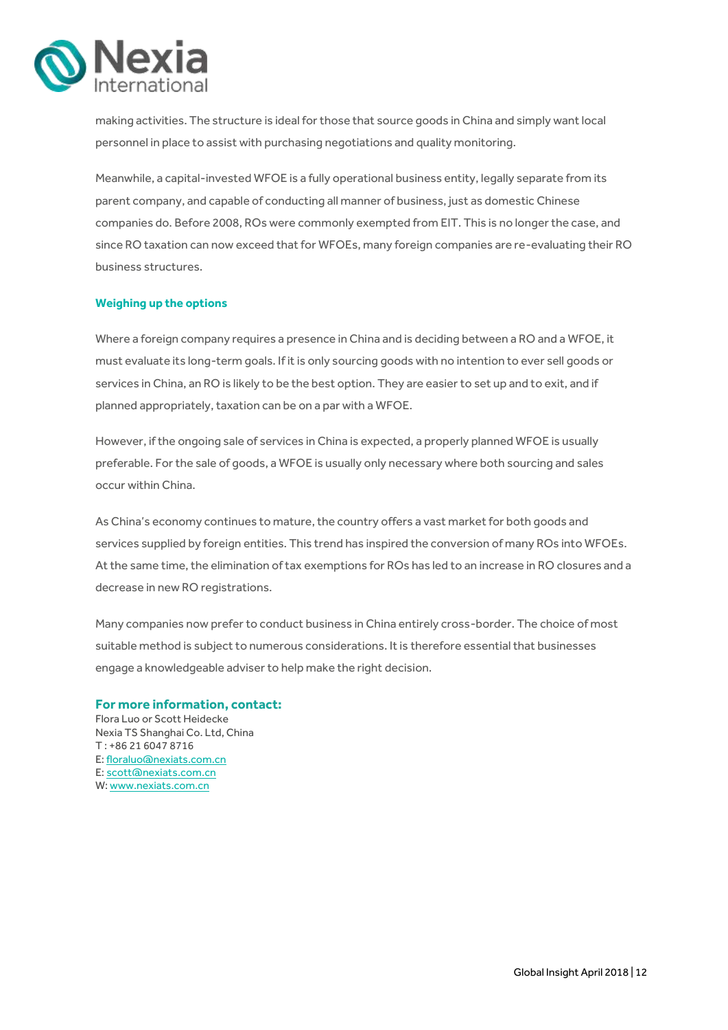

making activities. The structure is ideal for those that source goods in China and simply want local personnel in place to assist with purchasing negotiations and quality monitoring.

Meanwhile, a capital-invested WFOE is a fully operational business entity, legally separate from its parent company, and capable of conducting all manner of business, just as domestic Chinese companies do. Before 2008, ROs were commonly exempted from EIT. This is no longer the case, and since RO taxation can now exceed that for WFOEs, many foreign companies are re-evaluating their RO business structures.

### **Weighing up the options**

Where a foreign company requires a presence in China and is deciding between a RO and a WFOE, it must evaluate its long-term goals. If it is only sourcing goods with no intention to ever sell goods or services in China, an RO is likely to be the best option. They are easier to set up and to exit, and if planned appropriately, taxation can be on a par with a WFOE.

However, if the ongoing sale of services in China is expected, a properly planned WFOE is usually preferable. For the sale of goods, a WFOE is usually only necessary where both sourcing and sales occur within China.

As China's economy continues to mature, the country offers a vast market for both goods and services supplied by foreign entities. This trend has inspired the conversion of many ROs into WFOEs. At the same time, the elimination of tax exemptions for ROs has led to an increase in RO closures and a decrease in new RO registrations.

Many companies now prefer to conduct business in China entirely cross-border. The choice of most suitable method is subject to numerous considerations. It is therefore essential that businesses engage a knowledgeable adviser to help make the right decision.

### **For more information, contact:**

Flora Luo or Scott Heidecke Nexia TS Shanghai Co. Ltd, China T : +86 21 6047 8716 E[: floraluo@nexiats.com.cn](mailto:floraluo@nexiats.com.cn) E[: scott@nexiats.com.cn](mailto:scott@nexiats.com.cn) W: www.nexiats.com.cn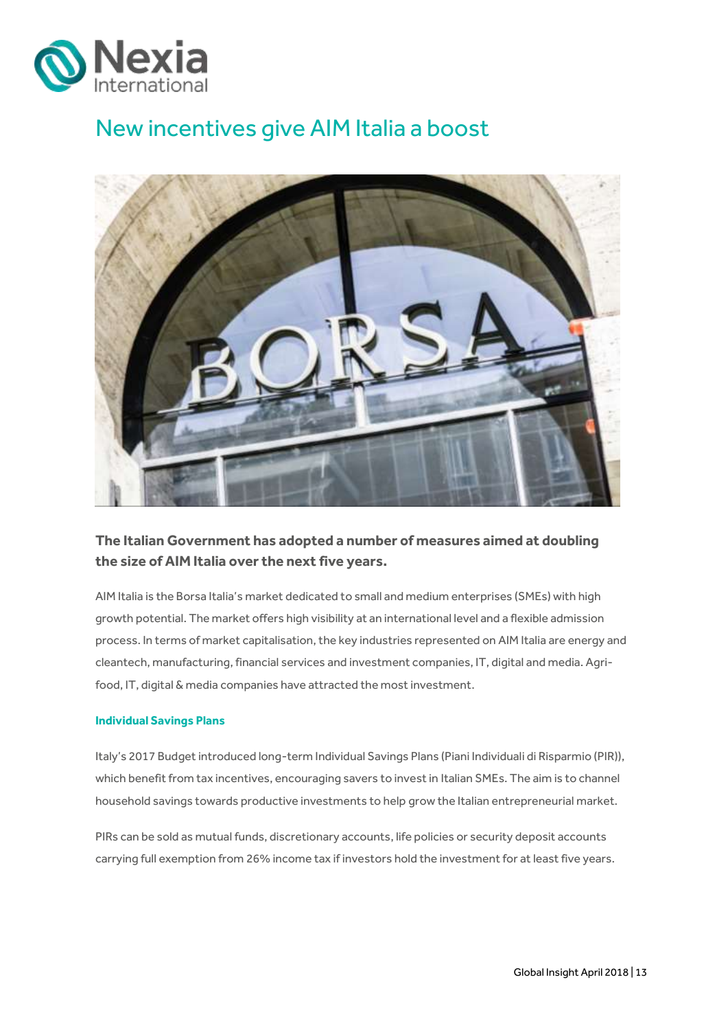

# <span id="page-12-0"></span>New incentives give AIM Italia a boost



### **The Italian Government has adopted a number of measures aimed at doubling the size of AIM Italia over the next five years.**

AIM Italia is the Borsa Italia's market dedicated to small and medium enterprises (SMEs) with high growth potential. The market offers high visibility at an international level and a flexible admission process. In terms of market capitalisation, the key industries represented on AIM Italia are energy and cleantech, manufacturing, financial services and investment companies, IT, digital and media. Agrifood, IT, digital & media companies have attracted the most investment.

### **Individual Savings Plans**

Italy's 2017 Budget introduced long-term Individual Savings Plans (Piani Individuali di Risparmio (PIR)), which benefit from tax incentives, encouraging savers to invest in Italian SMEs. The aim is to channel household savings towards productive investments to help grow the Italian entrepreneurial market.

PIRs can be sold as mutual funds, discretionary accounts, life policies or security deposit accounts carrying full exemption from 26% income tax if investors hold the investment for at least five years.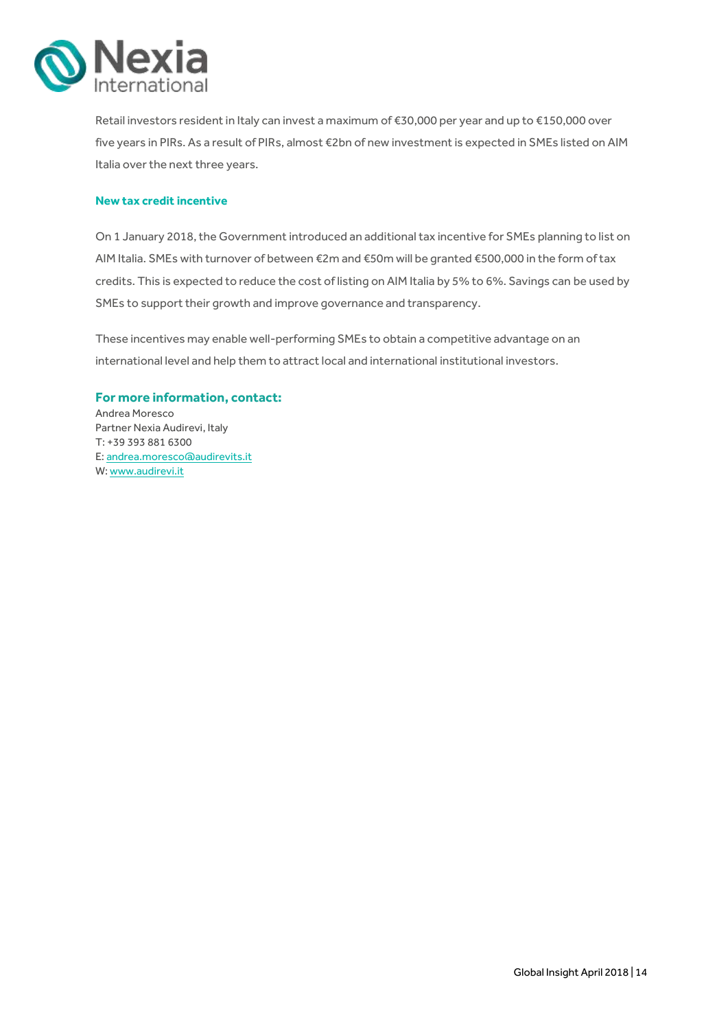

Retail investors resident in Italy can invest a maximum of €30,000 per year and up to €150,000 over five years in PIRs. As a result of PIRs, almost €2bn of new investment is expected in SMEs listed on AIM Italia over the next three years.

### **New tax credit incentive**

On 1 January 2018, the Government introduced an additional tax incentive for SMEs planning to list on AIM Italia. SMEs with turnover of between €2m and €50m will be granted €500,000 in the form of tax credits. This is expected to reduce the cost of listing on AIM Italia by 5% to 6%. Savings can be used by SMEs to support their growth and improve governance and transparency.

These incentives may enable well-performing SMEs to obtain a competitive advantage on an international level and help them to attract local and international institutional investors.

### **For more information, contact:**

Andrea Moresco Partner Nexia Audirevi, Italy T: +39 393 881 6300 E[: andrea.moresco@audirevits.it](mailto:andrea.moresco@audirevits.it) W: <www.audirevi.it>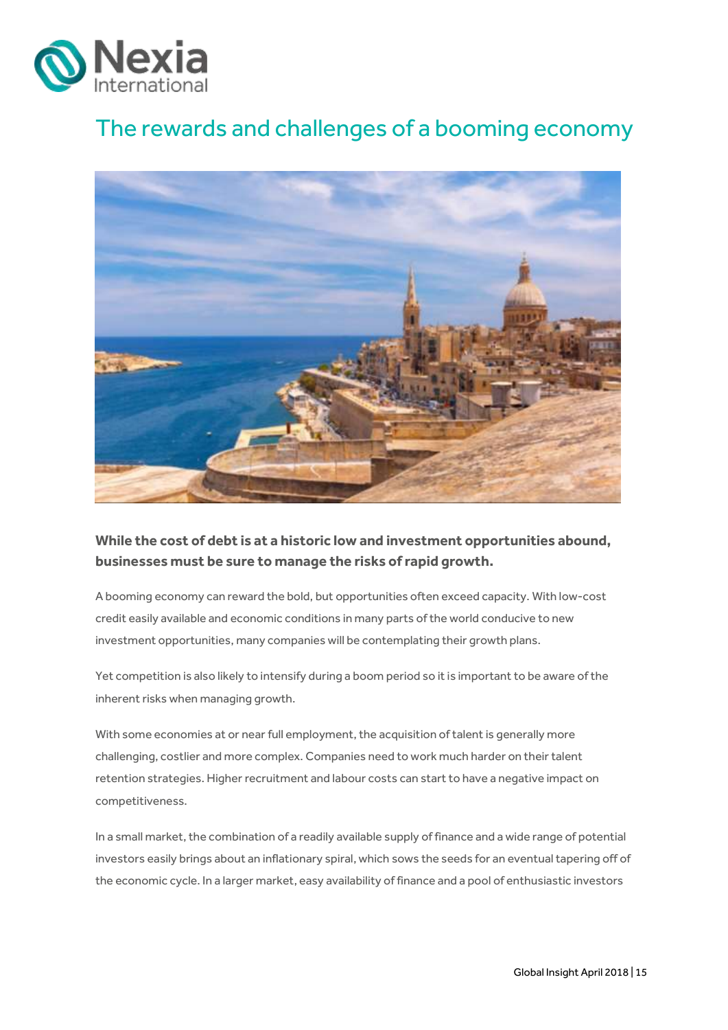

# <span id="page-14-0"></span>The rewards and challenges of a booming economy



### **While the cost of debt is at a historic low and investment opportunities abound, businesses must be sure to manage the risks of rapid growth.**

A booming economy can reward the bold, but opportunities often exceed capacity. With low-cost credit easily available and economic conditions in many parts of the world conducive to new investment opportunities, many companies will be contemplating their growth plans.

Yet competition is also likely to intensify during a boom period so it is important to be aware of the inherent risks when managing growth.

With some economies at or near full employment, the acquisition of talent is generally more challenging, costlier and more complex. Companies need to work much harder on their talent retention strategies. Higher recruitment and labour costs can start to have a negative impact on competitiveness.

In a small market, the combination of a readily available supply of finance and a wide range of potential investors easily brings about an inflationary spiral, which sows the seeds for an eventual tapering off of the economic cycle. In a larger market, easy availability of finance and a pool of enthusiastic investors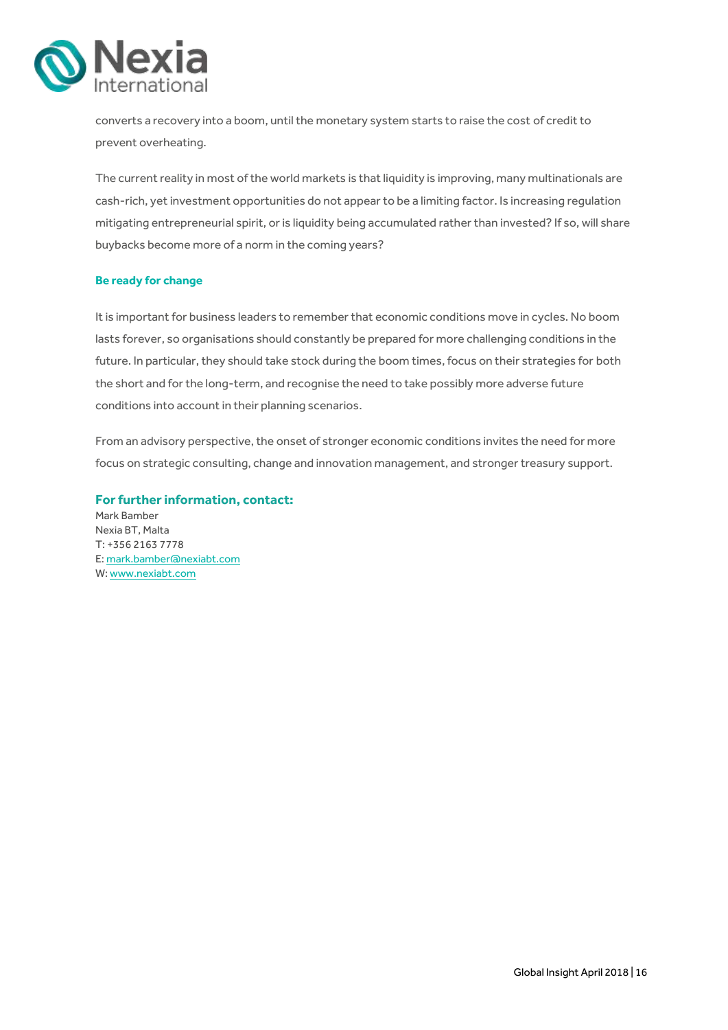

converts a recovery into a boom, until the monetary system starts to raise the cost of credit to prevent overheating.

The current reality in most of the world markets is that liquidity is improving, many multinationals are cash-rich, yet investment opportunities do not appear to be a limiting factor. Is increasing regulation mitigating entrepreneurial spirit, or is liquidity being accumulated rather than invested? If so, will share buybacks become more of a norm in the coming years?

### **Be ready for change**

It is important for business leaders to remember that economic conditions move in cycles. No boom lasts forever, so organisations should constantly be prepared for more challenging conditions in the future. In particular, they should take stock during the boom times, focus on their strategies for both the short and for the long-term, and recognise the need to take possibly more adverse future conditions into account in their planning scenarios.

From an advisory perspective, the onset of stronger economic conditions invites the need for more focus on strategic consulting, change and innovation management, and stronger treasury support.

**For further information, contact:**  Mark Bamber Nexia BT, Malta T: +356 2163 7778 E[: mark.bamber@nexiabt.com](mailto:mark.bamber@nexiabt.com) W[: www.nexiabt.com](http://www.nexiabt.com/)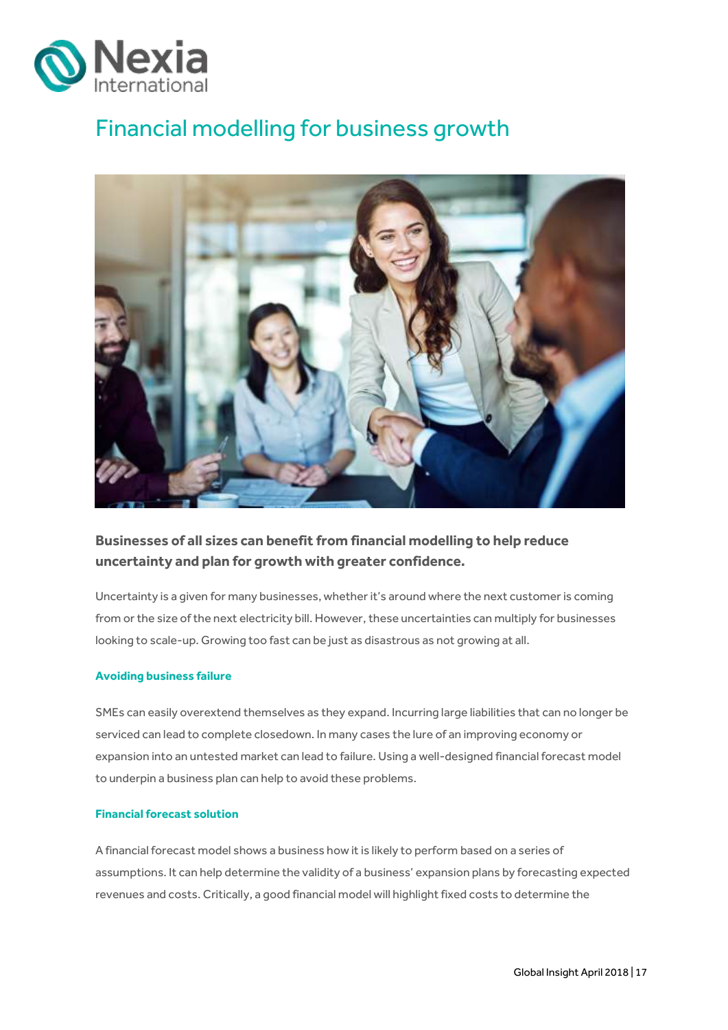

# <span id="page-16-0"></span>Financial modelling for business growth



### **Businesses of all sizes can benefit from financial modelling to help reduce uncertainty and plan for growth with greater confidence.**

Uncertainty is a given for many businesses, whether it's around where the next customer is coming from or the size of the next electricity bill. However, these uncertainties can multiply for businesses looking to scale-up. Growing too fast can be just as disastrous as not growing at all.

### **Avoiding business failure**

SMEs can easily overextend themselves as they expand. Incurring large liabilities that can no longer be serviced can lead to complete closedown. In many cases the lure of an improving economy or expansion into an untested market can lead to failure. Using a well-designed financial forecast model to underpin a business plan can help to avoid these problems.

### **Financial forecast solution**

A financial forecast model shows a business how it is likely to perform based on a series of assumptions. It can help determine the validity of a business' expansion plans by forecasting expected revenues and costs. Critically, a good financial model will highlight fixed costs to determine the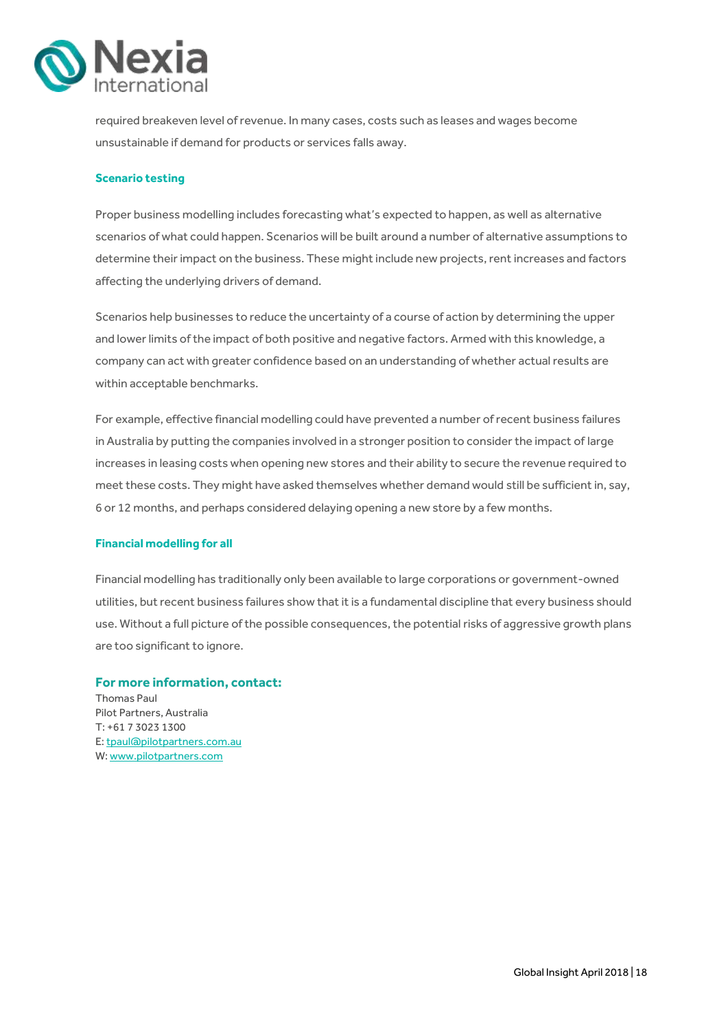

required breakeven level of revenue. In many cases, costs such as leases and wages become unsustainable if demand for products or services falls away.

### **Scenario testing**

Proper business modelling includes forecasting what's expected to happen, as well as alternative scenarios of what could happen. Scenarios will be built around a number of alternative assumptions to determine their impact on the business. These might include new projects, rent increases and factors affecting the underlying drivers of demand.

Scenarios help businesses to reduce the uncertainty of a course of action by determining the upper and lower limits of the impact of both positive and negative factors. Armed with this knowledge, a company can act with greater confidence based on an understanding of whether actual results are within acceptable benchmarks.

For example, effective financial modelling could have prevented a number of recent business failures in Australia by putting the companies involved in a stronger position to consider the impact of large increases in leasing costs when opening new stores and their ability to secure the revenue required to meet these costs. They might have asked themselves whether demand would still be sufficient in, say, 6 or 12 months, and perhaps considered delaying opening a new store by a few months.

### **Financial modelling for all**

Financial modelling has traditionally only been available to large corporations or government-owned utilities, but recent business failures show that it is a fundamental discipline that every business should use. Without a full picture of the possible consequences, the potential risks of aggressive growth plans are too significant to ignore.

### **For more information, contact:**

Thomas Paul Pilot Partners, Australia T: +61 7 3023 1300 E[: tpaul@pilotpartners.com.au](mailto:tpaul@pilotpartners.com.au) W[: www.pilotpartners.com](http://www.pilotpartners.com/)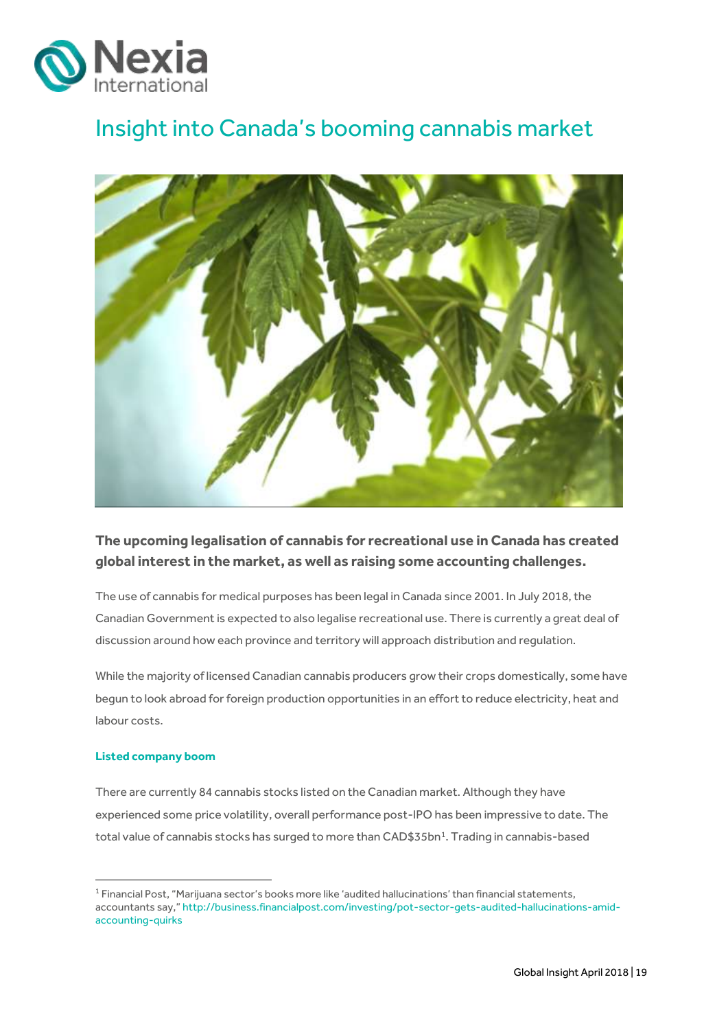

# <span id="page-18-0"></span>Insight into Canada's booming cannabis market



### **The upcoming legalisation of cannabis for recreational use in Canada has created global interest in the market, as well as raising some accounting challenges.**

The use of cannabis for medical purposes has been legal in Canada since 2001. In July 2018, the Canadian Government is expected to also legalise recreational use. There is currently a great deal of discussion around how each province and territory will approach distribution and regulation.

While the majority of licensed Canadian cannabis producers grow their crops domestically, some have begun to look abroad for foreign production opportunities in an effort to reduce electricity, heat and labour costs.

### **Listed company boom**

**.** 

There are currently 84 cannabis stocks listed on the Canadian market. Although they have experienced some price volatility, overall performance post-IPO has been impressive to date. The total value of cannabis stocks has surged to more than CAD\$35bn<sup>1</sup>. Trading in cannabis-based

<sup>1</sup> Financial Post, "Marijuana sector's books more like 'audited hallucinations' than financial statements, accountants say," [http://business.financialpost.com/investing/pot-sector-gets-audited-hallucinations-amid](http://business.financialpost.com/investing/pot-sector-gets-audited-hallucinations-amid-accounting-quirks)[accounting-quirks](http://business.financialpost.com/investing/pot-sector-gets-audited-hallucinations-amid-accounting-quirks)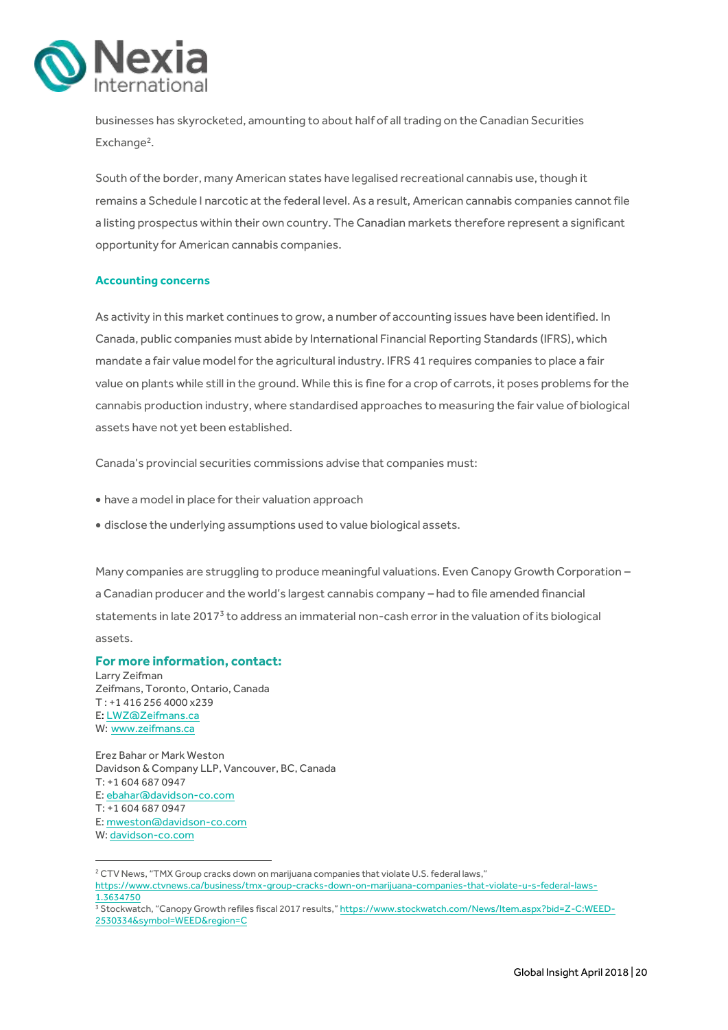

businesses has skyrocketed, amounting to about half of all trading on the Canadian Securities Exchange<sup>2</sup>.

South of the border, many American states have legalised recreational cannabis use, though it remains a Schedule I narcotic at the federal level. As a result, American cannabis companies cannot file a listing prospectus within their own country. The Canadian markets therefore represent a significant opportunity for American cannabis companies.

### **Accounting concerns**

As activity in this market continues to grow, a number of accounting issues have been identified. In Canada, public companies must abide by International Financial Reporting Standards (IFRS), which mandate a fair value model for the agricultural industry. IFRS 41 requires companies to place a fair value on plants while still in the ground. While this is fine for a crop of carrots, it poses problems for the cannabis production industry, where standardised approaches to measuring the fair value of biological assets have not yet been established.

Canada's provincial securities commissions advise that companies must:

- have a model in place for their valuation approach
- disclose the underlying assumptions used to value biological assets.

Many companies are struggling to produce meaningful valuations. Even Canopy Growth Corporation – a Canadian producer and the world's largest cannabis company – had to file amended financial statements in late 2017<sup>3</sup> to address an immaterial non-cash error in the valuation of its biological assets.

### **For more information, contact:**

Larry Zeifman Zeifmans, Toronto, Ontario, Canada T : +1 416 256 4000 x239 E[: LWZ@Zeifmans.ca](mailto:LWZ@Zeifmans.ca) W: www.zeifmans.ca

**.** 

Erez Bahar or Mark Weston Davidson & Company LLP, Vancouver, BC, Canada T: +[1 604 687 0947](tel:604.687.0947) E[: ebahar@davidson-co.com](mailto:ebahar@davidson-co.com) T: +[1 604 687 0947](tel:604.687.0947) E[: mweston@davidson-co.com](mailto:mweston@davidson-co.com) W[: davidson-co.com](https://davidson-co.com/)

<sup>&</sup>lt;sup>2</sup> CTV News, "TMX Group cracks down on marijuana companies that violate U.S. federal laws," [https://www.ctvnews.ca/business/tmx-group-cracks-down-on-marijuana-companies-that-violate-u-s-federal-laws-](https://www.ctvnews.ca/business/tmx-group-cracks-down-on-marijuana-companies-that-violate-u-s-federal-laws-1.3634750)[1.3634750](https://www.ctvnews.ca/business/tmx-group-cracks-down-on-marijuana-companies-that-violate-u-s-federal-laws-1.3634750)

<sup>3</sup> Stockwatch, "Canopy Growth refiles fiscal 2017 results," [https://www.stockwatch.com/News/Item.aspx?bid=Z-C:WEED-](https://www.stockwatch.com/News/Item.aspx?bid=Z-C:WEED-2530334&symbol=WEED®ion=C)[2530334&symbol=WEED&region=C](https://www.stockwatch.com/News/Item.aspx?bid=Z-C:WEED-2530334&symbol=WEED®ion=C)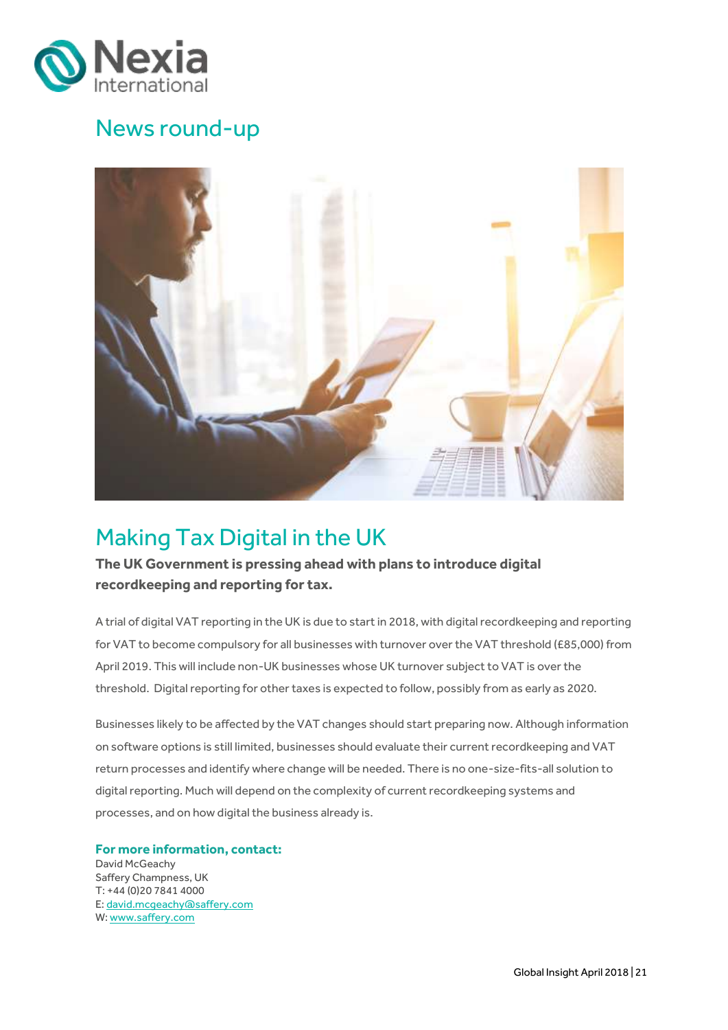

## News round-up



# <span id="page-20-0"></span>Making Tax Digital in the UK

**The UK Government is pressing ahead with plans to introduce digital recordkeeping and reporting for tax.** 

A trial of digital VAT reporting in the UK is due to start in 2018, with digital recordkeeping and reporting for VAT to become compulsory for all businesses with turnover over the VAT threshold (£85,000) from April 2019. This will include non-UK businesses whose UK turnover subject to VAT is over the threshold. Digital reporting for other taxes is expected to follow, possibly from as early as 2020.

Businesses likely to be affected by the VAT changes should start preparing now. Although information on software options is still limited, businesses should evaluate their current recordkeeping and VAT return processes and identify where change will be needed. There is no one-size-fits-all solution to digital reporting. Much will depend on the complexity of current recordkeeping systems and processes, and on how digital the business already is.

### **For more information, contact:**

David McGeachy Saffery Champness, UK T: +44 (0)20 7841 4000 E[: david.mcgeachy@saffery.com](mailto:david.mcgeachy@saffery.com) W: [www.saffery.com](http://www.saffery.com/)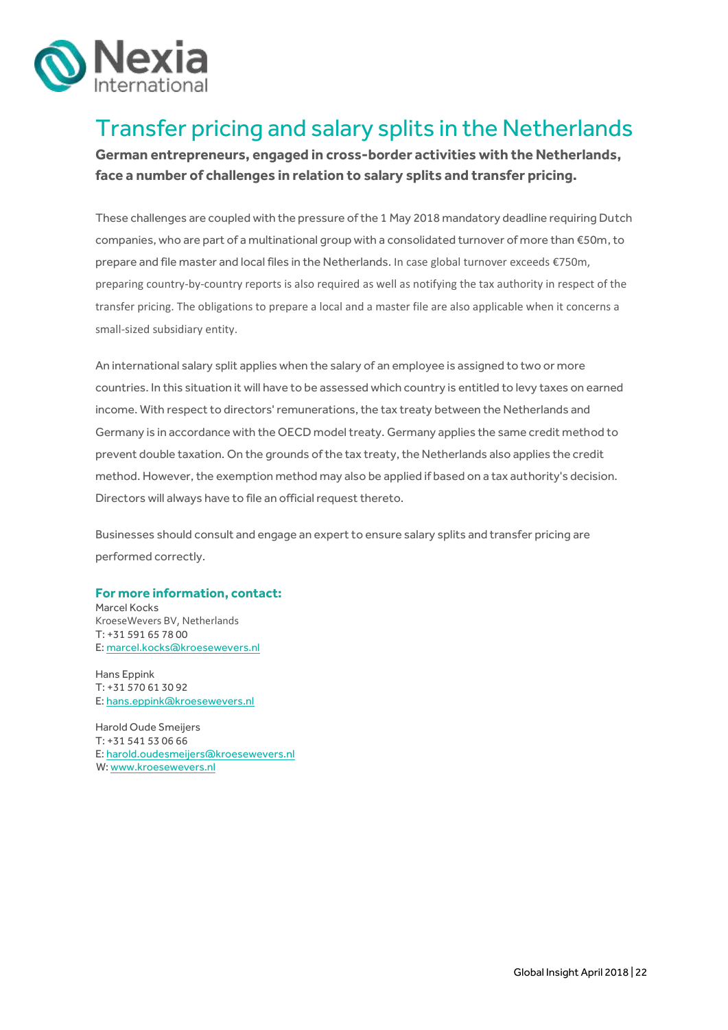

# <span id="page-21-0"></span>Transfer pricing and salary splits in the Netherlands

**German entrepreneurs, engaged in cross-border activities with the Netherlands, face a number of challenges in relation to salary splits and transfer pricing.** 

These challenges are coupled with the pressure of the 1 May 2018 mandatory deadline requiring Dutch companies, who are part of a multinational group with a consolidated turnover of more than €50m,to prepare and file master and local files in the Netherlands. In case global turnover exceeds €750m, preparing country-by-country reports is also required as well as notifying the tax authority in respect of the transfer pricing. The obligations to prepare a local and a master file are also applicable when it concerns a small-sized subsidiary entity.

An international salary split applies when the salary of an employee is assigned to two or more countries. In this situation it will have to be assessed which country is entitled to levy taxes on earned income. With respect to directors' remunerations, the tax treaty between the Netherlands and Germany is in accordance with the OECD model treaty. Germany applies the same credit method to prevent double taxation. On the grounds of the tax treaty, the Netherlands also applies the credit method. However, the exemption method may also be applied if based on a tax authority's decision. Directors will always have to file an official request thereto.

Businesses should consult and engage an expert to ensure salary splits and transfer pricing are performed correctly.

### **For more information, contact:**

Marcel Kocks KroeseWevers BV, Netherlands T: +31 591 65 78 00 E[: marcel.kocks@kroesewevers.nl](mailto:marcel.kocks@kroesewevers.nl)

Hans Eppink T: +31 570 61 30 92 E: [hans.eppink@kroesewevers.nl](mailto:hans.eppink@kroesewevers.nl)

Harold Oude Smeijers T: +31 541 53 06 66 E[: harold.oudesmeijers@kroesewevers.nl](mailto:harold.oudesmeijers@kroesewevers.nl) W: www.kroesewevers.nl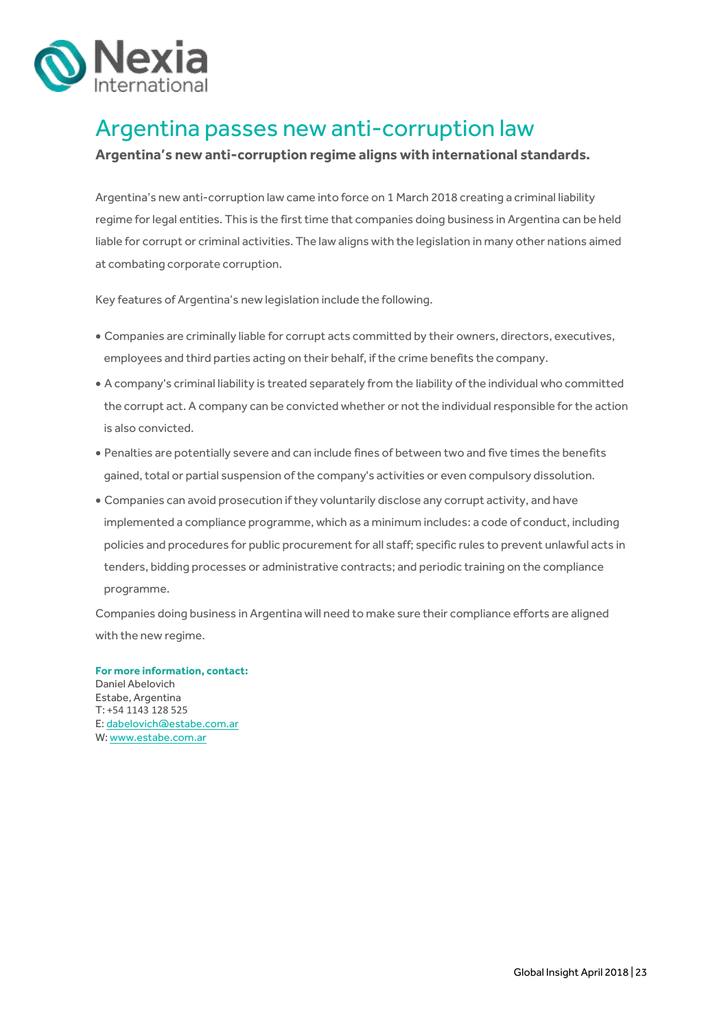

## <span id="page-22-0"></span>Argentina passes new anti-corruption law

### **Argentina's new anti-corruption regime aligns with international standards.**

Argentina's new anti-corruption law came into force on 1 March 2018 creating a criminal liability regime for legal entities. This is the first time that companies doing business in Argentina can be held liable for corrupt or criminal activities. The law aligns with the legislation in many other nations aimed at combating corporate corruption.

Key features of Argentina's new legislation include the following.

- Companies are criminally liable for corrupt acts committed by their owners, directors, executives, employees and third parties acting on their behalf, if the crime benefits the company.
- A company's criminal liability is treated separately from the liability of the individual who committed the corrupt act. A company can be convicted whether or not the individual responsible for the action is also convicted.
- Penalties are potentially severe and can include fines of between two and five times the benefits gained, total or partial suspension of the company's activities or even compulsory dissolution.
- Companies can avoid prosecution if they voluntarily disclose any corrupt activity, and have implemented a compliance programme, which as a minimum includes: a code of conduct, including policies and procedures for public procurement for all staff; specific rules to prevent unlawful acts in tenders, bidding processes or administrative contracts; and periodic training on the compliance programme.

Companies doing business in Argentina will need to make sure their compliance efforts are aligned with the new regime.

**For more information, contact:** Daniel Abelovich Estabe, Argentina T: +54 1143 128 525 E[: dabelovich@estabe.com.ar](mailto:dabelovich@estabe.com.ar) W: [www.estabe.com.ar](http://www.estabe.com.ar/)